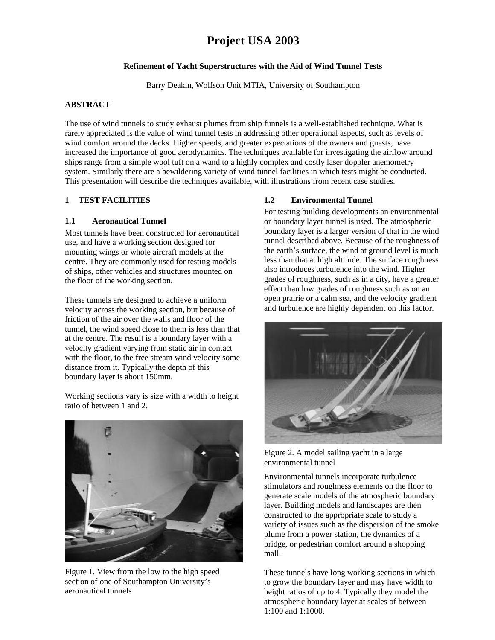# **Project USA 2003**

### **Refinement of Yacht Superstructures with the Aid of Wind Tunnel Tests**

Barry Deakin, Wolfson Unit MTIA, University of Southampton

### **ABSTRACT**

The use of wind tunnels to study exhaust plumes from ship funnels is a well-established technique. What is rarely appreciated is the value of wind tunnel tests in addressing other operational aspects, such as levels of wind comfort around the decks. Higher speeds, and greater expectations of the owners and guests, have increased the importance of good aerodynamics. The techniques available for investigating the airflow around ships range from a simple wool tuft on a wand to a highly complex and costly laser doppler anemometry system. Similarly there are a bewildering variety of wind tunnel facilities in which tests might be conducted. This presentation will describe the techniques available, with illustrations from recent case studies.

### **1 TEST FACILITIES**

#### **1.1 Aeronautical Tunnel**

Most tunnels have been constructed for aeronautical use, and have a working section designed for mounting wings or whole aircraft models at the centre. They are commonly used for testing models of ships, other vehicles and structures mounted on the floor of the working section.

These tunnels are designed to achieve a uniform velocity across the working section, but because of friction of the air over the walls and floor of the tunnel, the wind speed close to them is less than that at the centre. The result is a boundary layer with a velocity gradient varying from static air in contact with the floor, to the free stream wind velocity some distance from it. Typically the depth of this boundary layer is about 150mm.

Working sections vary is size with a width to height ratio of between 1 and 2.



Figure 1. View from the low to the high speed section of one of Southampton University's aeronautical tunnels

# **1.2 Environmental Tunnel**

For testing building developments an environmental or boundary layer tunnel is used. The atmospheric boundary layer is a larger version of that in the wind tunnel described above. Because of the roughness of the earth's surface, the wind at ground level is much less than that at high altitude. The surface roughness also introduces turbulence into the wind. Higher grades of roughness, such as in a city, have a greater effect than low grades of roughness such as on an open prairie or a calm sea, and the velocity gradient and turbulence are highly dependent on this factor.



Figure 2. A model sailing yacht in a large environmental tunnel

Environmental tunnels incorporate turbulence stimulators and roughness elements on the floor to generate scale models of the atmospheric boundary layer. Building models and landscapes are then constructed to the appropriate scale to study a variety of issues such as the dispersion of the smoke plume from a power station, the dynamics of a bridge, or pedestrian comfort around a shopping mall.

These tunnels have long working sections in which to grow the boundary layer and may have width to height ratios of up to 4. Typically they model the atmospheric boundary layer at scales of between 1:100 and 1:1000.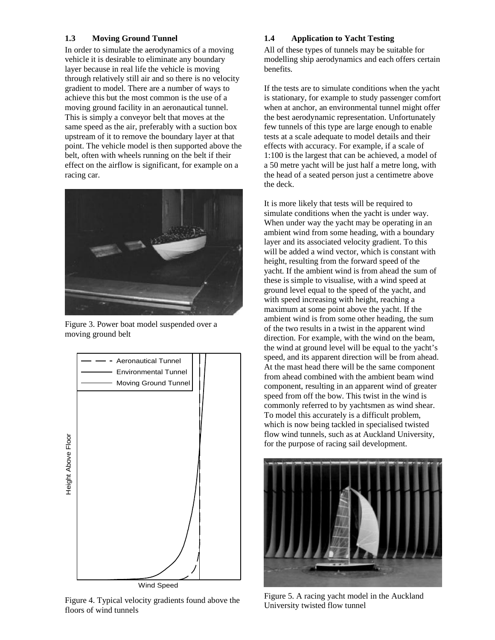### **1.3 Moving Ground Tunnel**

In order to simulate the aerodynamics of a moving vehicle it is desirable to eliminate any boundary layer because in real life the vehicle is moving through relatively still air and so there is no velocity gradient to model. There are a number of ways to achieve this but the most common is the use of a moving ground facility in an aeronautical tunnel. This is simply a conveyor belt that moves at the same speed as the air, preferably with a suction box upstream of it to remove the boundary layer at that point. The vehicle model is then supported above the belt, often with wheels running on the belt if their effect on the airflow is significant, for example on a racing car.



Figure 3. Power boat model suspended over a moving ground belt



Figure 4. Typical velocity gradients found above the floors of wind tunnels

# **1.4 Application to Yacht Testing**

All of these types of tunnels may be suitable for modelling ship aerodynamics and each offers certain benefits.

If the tests are to simulate conditions when the yacht is stationary, for example to study passenger comfort when at anchor, an environmental tunnel might offer the best aerodynamic representation. Unfortunately few tunnels of this type are large enough to enable tests at a scale adequate to model details and their effects with accuracy. For example, if a scale of 1:100 is the largest that can be achieved, a model of a 50 metre yacht will be just half a metre long, with the head of a seated person just a centimetre above the deck.

It is more likely that tests will be required to simulate conditions when the yacht is under way. When under way the yacht may be operating in an ambient wind from some heading, with a boundary layer and its associated velocity gradient. To this will be added a wind vector, which is constant with height, resulting from the forward speed of the yacht. If the ambient wind is from ahead the sum of these is simple to visualise, with a wind speed at ground level equal to the speed of the yacht, and with speed increasing with height, reaching a maximum at some point above the yacht. If the ambient wind is from some other heading, the sum of the two results in a twist in the apparent wind direction. For example, with the wind on the beam, the wind at ground level will be equal to the yacht's speed, and its apparent direction will be from ahead. At the mast head there will be the same component from ahead combined with the ambient beam wind component, resulting in an apparent wind of greater speed from off the bow. This twist in the wind is commonly referred to by yachtsmen as wind shear. To model this accurately is a difficult problem, which is now being tackled in specialised twisted flow wind tunnels, such as at Auckland University, for the purpose of racing sail development.



Figure 5. A racing yacht model in the Auckland University twisted flow tunnel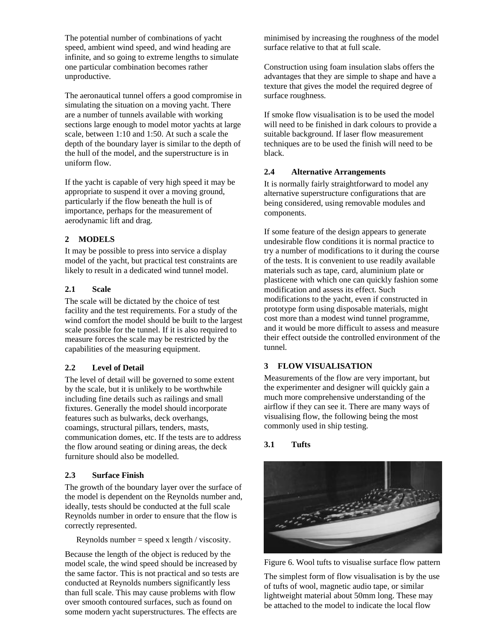The potential number of combinations of yacht speed, ambient wind speed, and wind heading are infinite, and so going to extreme lengths to simulate one particular combination becomes rather unproductive.

The aeronautical tunnel offers a good compromise in simulating the situation on a moving yacht. There are a number of tunnels available with working sections large enough to model motor yachts at large scale, between 1:10 and 1:50. At such a scale the depth of the boundary layer is similar to the depth of the hull of the model, and the superstructure is in uniform flow.

If the yacht is capable of very high speed it may be appropriate to suspend it over a moving ground, particularly if the flow beneath the hull is of importance, perhaps for the measurement of aerodynamic lift and drag.

# **2 MODELS**

It may be possible to press into service a display model of the yacht, but practical test constraints are likely to result in a dedicated wind tunnel model.

## **2.1 Scale**

The scale will be dictated by the choice of test facility and the test requirements. For a study of the wind comfort the model should be built to the largest scale possible for the tunnel. If it is also required to measure forces the scale may be restricted by the capabilities of the measuring equipment.

### **2.2 Level of Detail**

The level of detail will be governed to some extent by the scale, but it is unlikely to be worthwhile including fine details such as railings and small fixtures. Generally the model should incorporate features such as bulwarks, deck overhangs, coamings, structural pillars, tenders, masts, communication domes, etc. If the tests are to address the flow around seating or dining areas, the deck furniture should also be modelled.

#### **2.3 Surface Finish**

The growth of the boundary layer over the surface of the model is dependent on the Reynolds number and, ideally, tests should be conducted at the full scale Reynolds number in order to ensure that the flow is correctly represented.

Reynolds number = speed x length / viscosity.

Because the length of the object is reduced by the model scale, the wind speed should be increased by the same factor. This is not practical and so tests are conducted at Reynolds numbers significantly less than full scale. This may cause problems with flow over smooth contoured surfaces, such as found on some modern yacht superstructures. The effects are

minimised by increasing the roughness of the model surface relative to that at full scale.

Construction using foam insulation slabs offers the advantages that they are simple to shape and have a texture that gives the model the required degree of surface roughness.

If smoke flow visualisation is to be used the model will need to be finished in dark colours to provide a suitable background. If laser flow measurement techniques are to be used the finish will need to be black.

### **2.4 Alternative Arrangements**

It is normally fairly straightforward to model any alternative superstructure configurations that are being considered, using removable modules and components.

If some feature of the design appears to generate undesirable flow conditions it is normal practice to try a number of modifications to it during the course of the tests. It is convenient to use readily available materials such as tape, card, aluminium plate or plasticene with which one can quickly fashion some modification and assess its effect. Such modifications to the yacht, even if constructed in prototype form using disposable materials, might cost more than a modest wind tunnel programme, and it would be more difficult to assess and measure their effect outside the controlled environment of the tunnel.

# **3 FLOW VISUALISATION**

Measurements of the flow are very important, but the experimenter and designer will quickly gain a much more comprehensive understanding of the airflow if they can see it. There are many ways of visualising flow, the following being the most commonly used in ship testing.

# **3.1 Tufts**



Figure 6. Wool tufts to visualise surface flow pattern

The simplest form of flow visualisation is by the use of tufts of wool, magnetic audio tape, or similar lightweight material about 50mm long. These may be attached to the model to indicate the local flow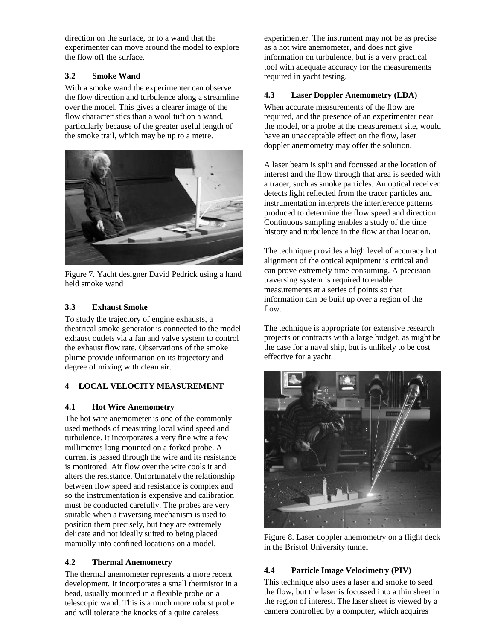direction on the surface, or to a wand that the experimenter can move around the model to explore the flow off the surface.

# **3.2 Smoke Wand**

With a smoke wand the experimenter can observe the flow direction and turbulence along a streamline over the model. This gives a clearer image of the flow characteristics than a wool tuft on a wand, particularly because of the greater useful length of the smoke trail, which may be up to a metre.



Figure 7. Yacht designer David Pedrick using a hand held smoke wand

# **3.3 Exhaust Smoke**

To study the trajectory of engine exhausts, a theatrical smoke generator is connected to the model exhaust outlets via a fan and valve system to control the exhaust flow rate. Observations of the smoke plume provide information on its trajectory and degree of mixing with clean air.

# **4 LOCAL VELOCITY MEASUREMENT**

# **4.1 Hot Wire Anemometry**

The hot wire anemometer is one of the commonly used methods of measuring local wind speed and turbulence. It incorporates a very fine wire a few millimetres long mounted on a forked probe. A current is passed through the wire and its resistance is monitored. Air flow over the wire cools it and alters the resistance. Unfortunately the relationship between flow speed and resistance is complex and so the instrumentation is expensive and calibration must be conducted carefully. The probes are very suitable when a traversing mechanism is used to position them precisely, but they are extremely delicate and not ideally suited to being placed manually into confined locations on a model.

# **4.2 Thermal Anemometry**

The thermal anemometer represents a more recent development. It incorporates a small thermistor in a bead, usually mounted in a flexible probe on a telescopic wand. This is a much more robust probe and will tolerate the knocks of a quite careless

experimenter. The instrument may not be as precise as a hot wire anemometer, and does not give information on turbulence, but is a very practical tool with adequate accuracy for the measurements required in yacht testing.

# **4.3 Laser Doppler Anemometry (LDA)**

When accurate measurements of the flow are required, and the presence of an experimenter near the model, or a probe at the measurement site, would have an unacceptable effect on the flow, laser doppler anemometry may offer the solution.

A laser beam is split and focussed at the location of interest and the flow through that area is seeded with a tracer, such as smoke particles. An optical receiver detects light reflected from the tracer particles and instrumentation interprets the interference patterns produced to determine the flow speed and direction. Continuous sampling enables a study of the time history and turbulence in the flow at that location.

The technique provides a high level of accuracy but alignment of the optical equipment is critical and can prove extremely time consuming. A precision traversing system is required to enable measurements at a series of points so that information can be built up over a region of the flow.

The technique is appropriate for extensive research projects or contracts with a large budget, as might be the case for a naval ship, but is unlikely to be cost effective for a yacht.



Figure 8. Laser doppler anemometry on a flight deck in the Bristol University tunnel

# **4.4 Particle Image Velocimetry (PIV)**

This technique also uses a laser and smoke to seed the flow, but the laser is focussed into a thin sheet in the region of interest. The laser sheet is viewed by a camera controlled by a computer, which acquires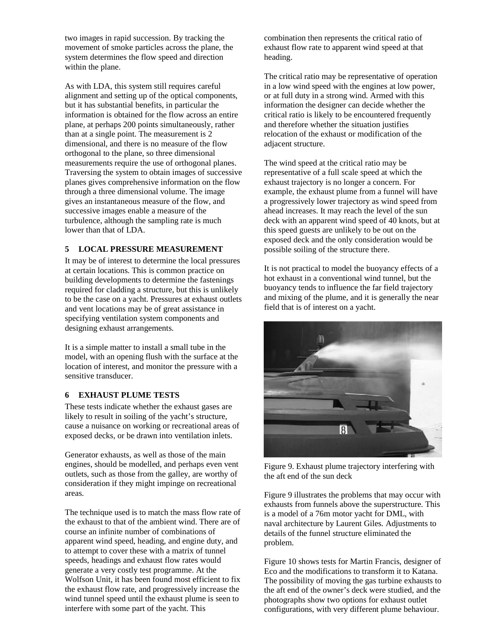two images in rapid succession. By tracking the movement of smoke particles across the plane, the system determines the flow speed and direction within the plane.

As with LDA, this system still requires careful alignment and setting up of the optical components, but it has substantial benefits, in particular the information is obtained for the flow across an entire plane, at perhaps 200 points simultaneously, rather than at a single point. The measurement is 2 dimensional, and there is no measure of the flow orthogonal to the plane, so three dimensional measurements require the use of orthogonal planes. Traversing the system to obtain images of successive planes gives comprehensive information on the flow through a three dimensional volume. The image gives an instantaneous measure of the flow, and successive images enable a measure of the turbulence, although the sampling rate is much lower than that of LDA.

### **5 LOCAL PRESSURE MEASUREMENT**

It may be of interest to determine the local pressures at certain locations. This is common practice on building developments to determine the fastenings required for cladding a structure, but this is unlikely to be the case on a yacht. Pressures at exhaust outlets and vent locations may be of great assistance in specifying ventilation system components and designing exhaust arrangements.

It is a simple matter to install a small tube in the model, with an opening flush with the surface at the location of interest, and monitor the pressure with a sensitive transducer.

#### **6 EXHAUST PLUME TESTS**

These tests indicate whether the exhaust gases are likely to result in soiling of the yacht's structure, cause a nuisance on working or recreational areas of exposed decks, or be drawn into ventilation inlets.

Generator exhausts, as well as those of the main engines, should be modelled, and perhaps even vent outlets, such as those from the galley, are worthy of consideration if they might impinge on recreational areas.

The technique used is to match the mass flow rate of the exhaust to that of the ambient wind. There are of course an infinite number of combinations of apparent wind speed, heading, and engine duty, and to attempt to cover these with a matrix of tunnel speeds, headings and exhaust flow rates would generate a very costly test programme. At the Wolfson Unit, it has been found most efficient to fix the exhaust flow rate, and progressively increase the wind tunnel speed until the exhaust plume is seen to interfere with some part of the yacht. This

combination then represents the critical ratio of exhaust flow rate to apparent wind speed at that heading.

The critical ratio may be representative of operation in a low wind speed with the engines at low power, or at full duty in a strong wind. Armed with this information the designer can decide whether the critical ratio is likely to be encountered frequently and therefore whether the situation justifies relocation of the exhaust or modification of the adjacent structure.

The wind speed at the critical ratio may be representative of a full scale speed at which the exhaust trajectory is no longer a concern. For example, the exhaust plume from a funnel will have a progressively lower trajectory as wind speed from ahead increases. It may reach the level of the sun deck with an apparent wind speed of 40 knots, but at this speed guests are unlikely to be out on the exposed deck and the only consideration would be possible soiling of the structure there.

It is not practical to model the buoyancy effects of a hot exhaust in a conventional wind tunnel, but the buoyancy tends to influence the far field trajectory and mixing of the plume, and it is generally the near field that is of interest on a yacht.



Figure 9. Exhaust plume trajectory interfering with the aft end of the sun deck

Figure 9 illustrates the problems that may occur with exhausts from funnels above the superstructure. This is a model of a 76m motor yacht for DML, with naval architecture by Laurent Giles. Adjustments to details of the funnel structure eliminated the problem.

Figure 10 shows tests for Martin Francis, designer of Eco and the modifications to transform it to Katana. The possibility of moving the gas turbine exhausts to the aft end of the owner's deck were studied, and the photographs show two options for exhaust outlet configurations, with very different plume behaviour.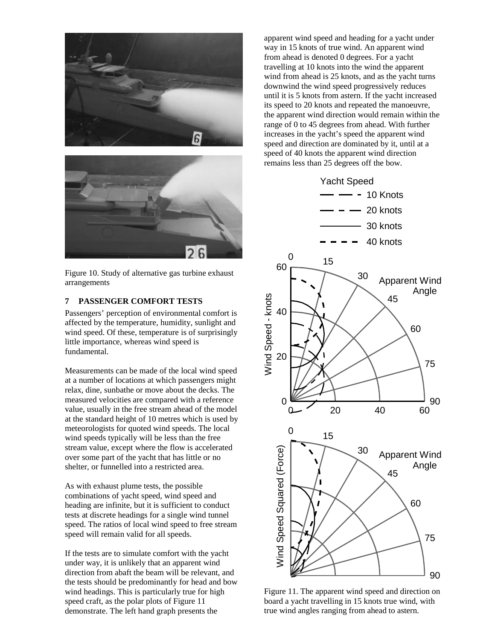



Figure 10. Study of alternative gas turbine exhaust arrangements

#### **7 PASSENGER COMFORT TESTS**

Passengers' perception of environmental comfort is affected by the temperature, humidity, sunlight and wind speed. Of these, temperature is of surprisingly little importance, whereas wind speed is fundamental.

Measurements can be made of the local wind speed at a number of locations at which passengers might relax, dine, sunbathe or move about the decks. The measured velocities are compared with a reference value, usually in the free stream ahead of the model at the standard height of 10 metres which is used by meteorologists for quoted wind speeds. The local wind speeds typically will be less than the free stream value, except where the flow is accelerated over some part of the yacht that has little or no shelter, or funnelled into a restricted area.

As with exhaust plume tests, the possible combinations of yacht speed, wind speed and heading are infinite, but it is sufficient to conduct tests at discrete headings for a single wind tunnel speed. The ratios of local wind speed to free stream speed will remain valid for all speeds.

If the tests are to simulate comfort with the yacht under way, it is unlikely that an apparent wind direction from abaft the beam will be relevant, and the tests should be predominantly for head and bow wind headings. This is particularly true for high speed craft, as the polar plots of Figure 11 demonstrate. The left hand graph presents the

apparent wind speed and heading for a yacht under way in 15 knots of true wind. An apparent wind from ahead is denoted 0 degrees. For a yacht travelling at 10 knots into the wind the apparent wind from ahead is 25 knots, and as the yacht turns downwind the wind speed progressively reduces until it is 5 knots from astern. If the yacht increased its speed to 20 knots and repeated the manoeuvre, the apparent wind direction would remain within the range of 0 to 45 degrees from ahead. With further increases in the yacht's speed the apparent wind speed and direction are dominated by it, until at a speed of 40 knots the apparent wind direction remains less than 25 degrees off the bow.



Figure 11. The apparent wind speed and direction on board a yacht travelling in 15 knots true wind, with true wind angles ranging from ahead to astern.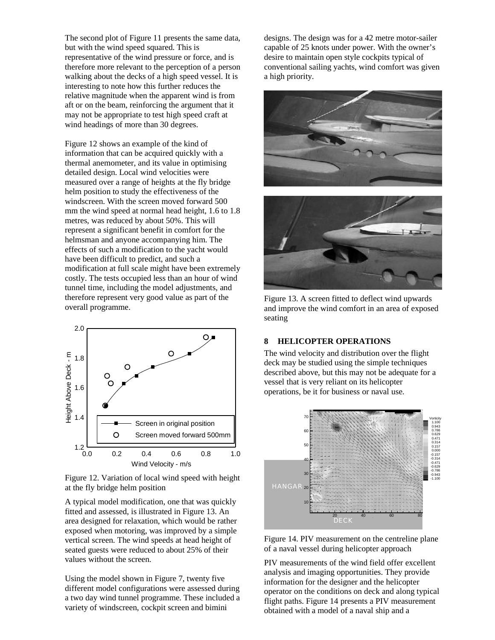The second plot of Figure 11 presents the same data, but with the wind speed squared. This is representative of the wind pressure or force, and is therefore more relevant to the perception of a person walking about the decks of a high speed vessel. It is interesting to note how this further reduces the relative magnitude when the apparent wind is from aft or on the beam, reinforcing the argument that it may not be appropriate to test high speed craft at wind headings of more than 30 degrees.

Figure 12 shows an example of the kind of information that can be acquired quickly with a thermal anemometer, and its value in optimising detailed design. Local wind velocities were measured over a range of heights at the fly bridge helm position to study the effectiveness of the windscreen. With the screen moved forward 500 mm the wind speed at normal head height, 1.6 to 1.8 metres, was reduced by about 50%. This will represent a significant benefit in comfort for the helmsman and anyone accompanying him. The effects of such a modification to the yacht would have been difficult to predict, and such a modification at full scale might have been extremely costly. The tests occupied less than an hour of wind tunnel time, including the model adjustments, and therefore represent very good value as part of the overall programme.



Figure 12. Variation of local wind speed with height at the fly bridge helm position

A typical model modification, one that was quickly fitted and assessed, is illustrated in Figure 13. An area designed for relaxation, which would be rather exposed when motoring, was improved by a simple vertical screen. The wind speeds at head height of seated guests were reduced to about 25% of their values without the screen.

Using the model shown in Figure 7, twenty five different model configurations were assessed during a two day wind tunnel programme. These included a variety of windscreen, cockpit screen and bimini

designs. The design was for a 42 metre motor-sailer capable of 25 knots under power. With the owner's desire to maintain open style cockpits typical of conventional sailing yachts, wind comfort was given a high priority.





Figure 13. A screen fitted to deflect wind upwards and improve the wind comfort in an area of exposed seating

#### **8 HELICOPTER OPERATIONS**

The wind velocity and distribution over the flight deck may be studied using the simple techniques described above, but this may not be adequate for a vessel that is very reliant on its helicopter operations, be it for business or naval use.



Figure 14. PIV measurement on the centreline plane of a naval vessel during helicopter approach

PIV measurements of the wind field offer excellent analysis and imaging opportunities. They provide information for the designer and the helicopter operator on the conditions on deck and along typical flight paths. Figure 14 presents a PIV measurement obtained with a model of a naval ship and a